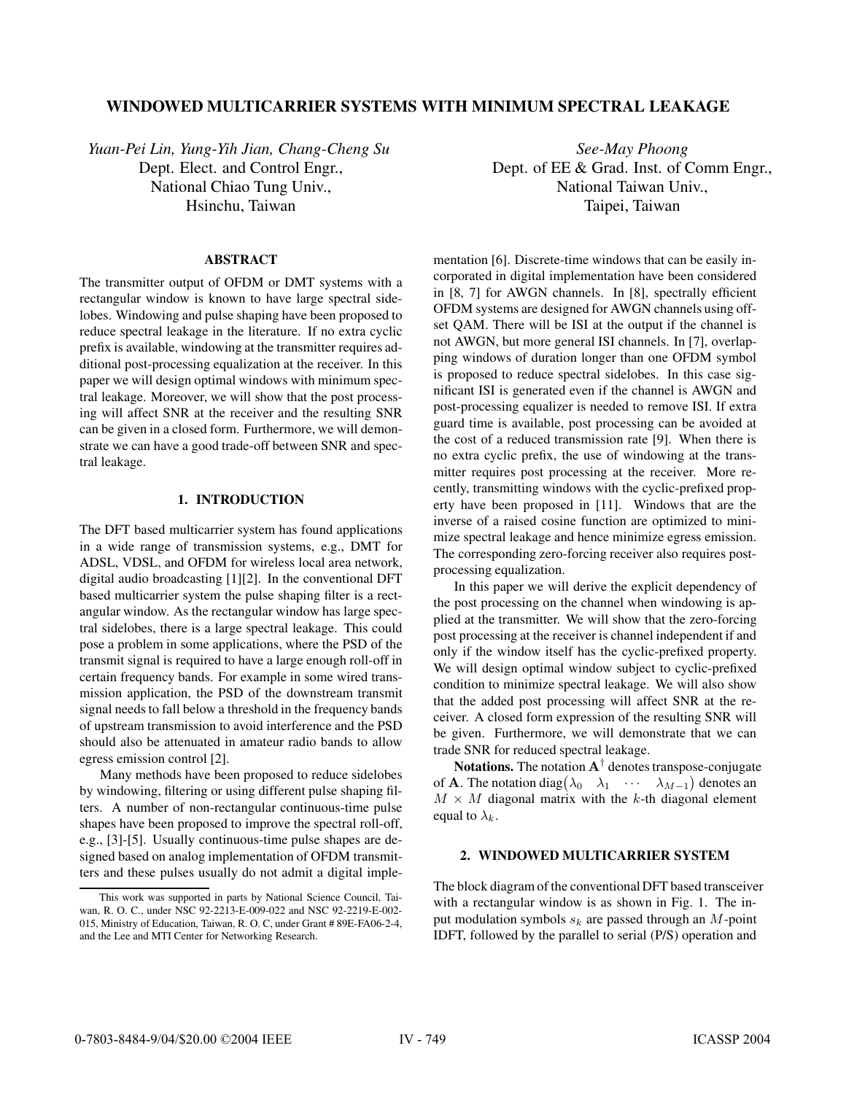# **WINDOWED MULTICARRIER SYSTEMS WITH MINIMUM SPECTRAL LEAKAGE**

*Yuan-Pei Lin, Yung-Yih Jian, Chang-Cheng Su* Dept. Elect. and Control Engr., National Chiao Tung Univ., Hsinchu, Taiwan

## **ABSTRACT**

The transmitter output of OFDM or DMT systems with a rectangular window is known to have large spectral sidelobes. Windowing and pulse shaping have been proposed to reduce spectral leakage in the literature. If no extra cyclic prefix is available, windowing at the transmitter requires additional post-processing equalization at the receiver. In this paper we will design optimal windows with minimum spectral leakage. Moreover, we will show that the post processing will affect SNR at the receiver and the resulting SNR can be given in a closed form. Furthermore, we will demonstrate we can have a good trade-off between SNR and spectral leakage.

## **1. INTRODUCTION**

The DFT based multicarrier system has found applications in a wide range of transmission systems, e.g., DMT for ADSL, VDSL, and OFDM for wireless local area network, digital audio broadcasting [1][2]. In the conventional DFT based multicarrier system the pulse shaping filter is a rectangular window. As the rectangular window has large spectral sidelobes, there is a large spectral leakage. This could pose a problem in some applications, where the PSD of the transmit signal is required to have a large enough roll-off in certain frequency bands. For example in some wired transmission application, the PSD of the downstream transmit signal needs to fall below a threshold in the frequency bands of upstream transmission to avoid interference and the PSD should also be attenuated in amateur radio bands to allow egress emission control [2].

Many methods have been proposed to reduce sidelobes by windowing, filtering or using different pulse shaping filters. A number of non-rectangular continuous-time pulse shapes have been proposed to improve the spectral roll-off, e.g., [3]-[5]. Usually continuous-time pulse shapes are designed based on analog implementation of OFDM transmitters and these pulses usually do not admit a digital imple-

*See-May Phoong* Dept. of EE & Grad. Inst. of Comm Engr., National Taiwan Univ., Taipei, Taiwan

mentation [6]. Discrete-time windows that can be easily incorporated in digital implementation have been considered in [8, 7] for AWGN channels. In [8], spectrally efficient OFDM systems are designed for AWGN channels using offset QAM. There will be ISI at the output if the channel is not AWGN, but more general ISI channels. In [7], overlapping windows of duration longer than one OFDM symbol is proposed to reduce spectral sidelobes. In this case significant ISI is generated even if the channel is AWGN and post-processing equalizer is needed to remove ISI. If extra guard time is available, post processing can be avoided at the cost of a reduced transmission rate [9]. When there is no extra cyclic prefix, the use of windowing at the transmitter requires post processing at the receiver. More recently, transmitting windows with the cyclic-prefixed property have been proposed in [11]. Windows that are the inverse of a raised cosine function are optimized to minimize spectral leakage and hence minimize egress emission. The corresponding zero-forcing receiver also requires postprocessing equalization.

In this paper we will derive the explicit dependency of the post processing on the channel when windowing is applied at the transmitter. We will show that the zero-forcing post processing at the receiver is channel independent if and only if the window itself has the cyclic-prefixed property. We will design optimal window subject to cyclic-prefixed condition to minimize spectral leakage. We will also show that the added post processing will affect SNR at the receiver. A closed form expression of the resulting SNR will be given. Furthermore, we will demonstrate that we can trade SNR for reduced spectral leakage.

**Notations.** The notation  $A^{\dagger}$  denotes transpose-conjugate of **A**. The notation diag( $\lambda_0$   $\lambda_1$  ···  $\lambda_{M-1}$ ) denotes an  $M \times M$  diagonal matrix with the k-th diagonal element equal to  $\lambda_k$ .

#### **2. WINDOWED MULTICARRIER SYSTEM**

The block diagram of the conventional DFT based transceiver with a rectangular window is as shown in Fig. 1. The input modulation symbols  $s_k$  are passed through an M-point IDFT, followed by the parallel to serial (P/S) operation and

This work was supported in parts by National Science Council, Taiwan, R. O. C., under NSC 92-2213-E-009-022 and NSC 92-2219-E-002- 015, Ministry of Education, Taiwan, R. O. C, under Grant # 89E-FA06-2-4, and the Lee and MTI Center for Networking Research.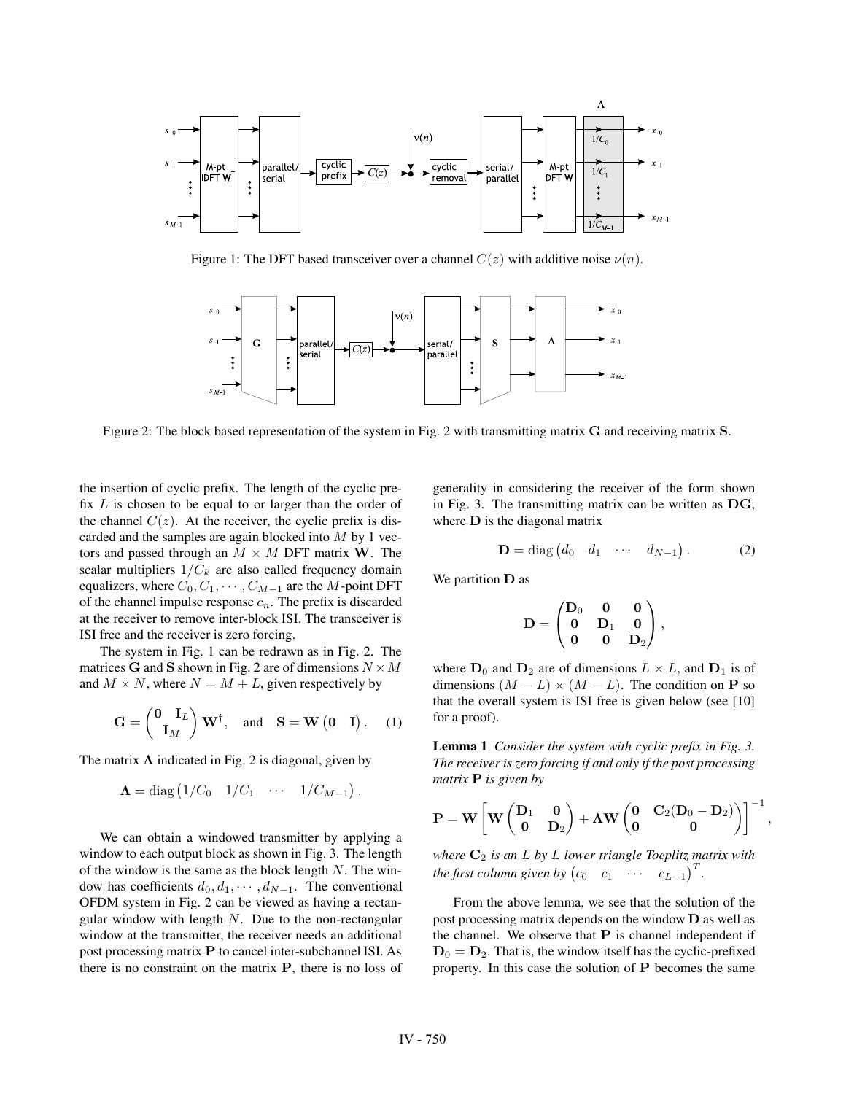

Figure 1: The DFT based transceiver over a channel  $C(z)$  with additive noise  $\nu(n)$ .



Figure 2: The block based representation of the system in Fig. 2 with transmitting matrix **G** and receiving matrix **S**.

the insertion of cyclic prefix. The length of the cyclic prefix  $L$  is chosen to be equal to or larger than the order of the channel  $C(z)$ . At the receiver, the cyclic prefix is discarded and the samples are again blocked into  $M$  by 1 vectors and passed through an  $M \times M$  DFT matrix **W**. The scalar multipliers  $1/C_k$  are also called frequency domain equalizers, where  $C_0, C_1, \cdots, C_{M-1}$  are the M-point DFT of the channel impulse response  $c_n$ . The prefix is discarded at the receiver to remove inter-block ISI. The transceiver is ISI free and the receiver is zero forcing.

The system in Fig. 1 can be redrawn as in Fig. 2. The matrices **G** and **S** shown in Fig. 2 are of dimensions  $N \times M$ and  $M \times N$ , where  $N = M + L$ , given respectively by

$$
\mathbf{G} = \begin{pmatrix} \mathbf{0} & \mathbf{I}_L \\ \mathbf{I}_M \end{pmatrix} \mathbf{W}^{\dagger}, \text{ and } \mathbf{S} = \mathbf{W} \begin{pmatrix} \mathbf{0} & \mathbf{I} \end{pmatrix}. \quad (1)
$$

The matrix  $\Lambda$  indicated in Fig. 2 is diagonal, given by

$$
\mathbf{\Lambda} = \text{diag}\left(1/C_0 \quad 1/C_1 \quad \cdots \quad 1/C_{M-1}\right).
$$

We can obtain a windowed transmitter by applying a window to each output block as shown in Fig. 3. The length of the window is the same as the block length  $N$ . The window has coefficients  $d_0, d_1, \cdots, d_{N-1}$ . The conventional OFDM system in Fig. 2 can be viewed as having a rectangular window with length  $N$ . Due to the non-rectangular window at the transmitter, the receiver needs an additional post processing matrix **P** to cancel inter-subchannel ISI. As there is no constraint on the matrix **P**, there is no loss of generality in considering the receiver of the form shown in Fig. 3. The transmitting matrix can be written as **DG**, where **D** is the diagonal matrix

$$
\mathbf{D} = \text{diag} \begin{pmatrix} d_0 & d_1 & \cdots & d_{N-1} \end{pmatrix} . \tag{2}
$$

We partition **D** as

$$
D=\begin{pmatrix} D_0 & 0 & 0 \\ 0 & D_1 & 0 \\ 0 & 0 & D_2 \end{pmatrix},
$$

where  $D_0$  and  $D_2$  are of dimensions  $L \times L$ , and  $D_1$  is of dimensions  $(M - L) \times (M - L)$ . The condition on **P** so that the overall system is ISI free is given below (see [10] for a proof).

**Lemma 1** *Consider the system with cyclic prefix in Fig. 3. The receiver is zero forcing if and only if the post processing matrix* **P** *is given by*

$$
\mathbf{P}=\mathbf{W}\left[\mathbf{W}\begin{pmatrix}\mathbf{D}_1&\mathbf{0}\\ \mathbf{0}&\mathbf{D}_2\end{pmatrix}+\mathbf{\Lambda}\mathbf{W}\begin{pmatrix}\mathbf{0}&\mathbf{C}_2(\mathbf{D}_0-\mathbf{D}_2)\\ \mathbf{0}&\mathbf{0}\end{pmatrix}\right]^{-1},
$$

*where* **C**<sup>2</sup> *is an* L *by* L *lower triangle Toeplitz matrix with the first column given by*  $(c_0 \quad c_1 \quad \cdots \quad c_{L-1})^T$ .

From the above lemma, we see that the solution of the post processing matrix depends on the window **D** as well as the channel. We observe that **P** is channel independent if  $D_0 = D_2$ . That is, the window itself has the cyclic-prefixed property. In this case the solution of **P** becomes the same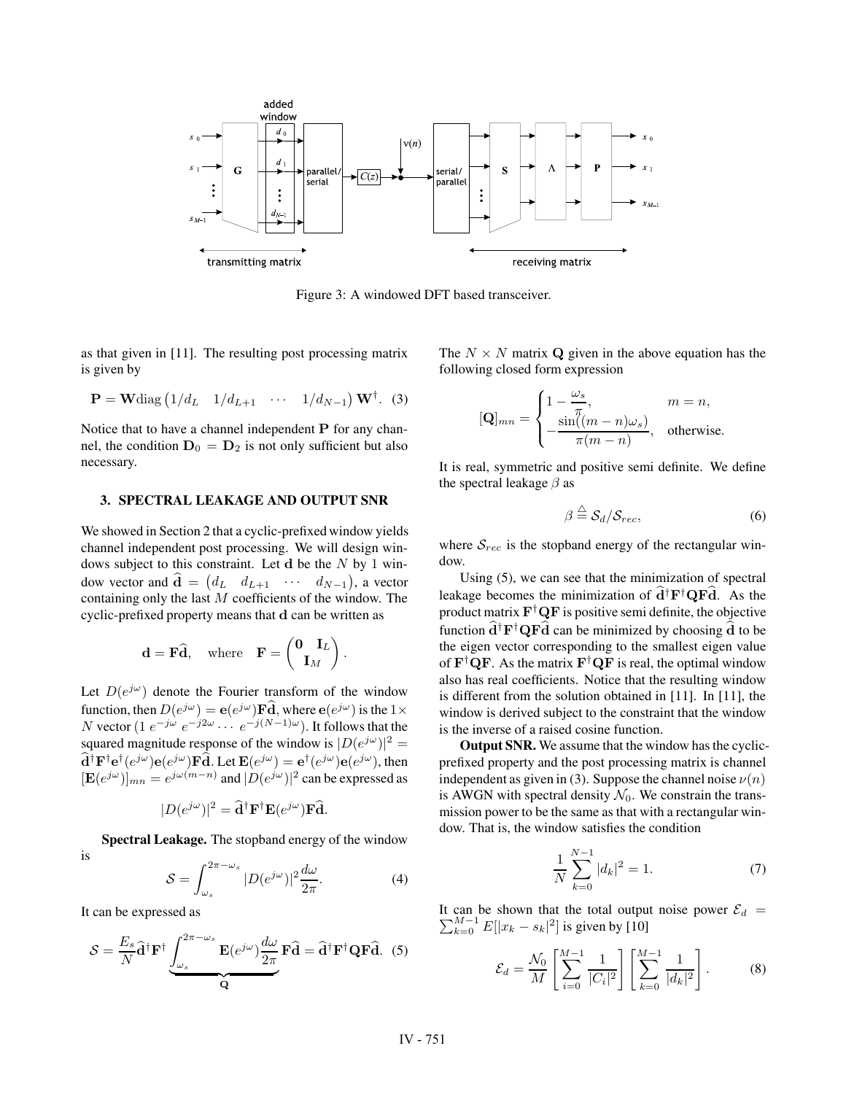

Figure 3: A windowed DFT based transceiver.

as that given in [11]. The resulting post processing matrix is given by

$$
\mathbf{P} = \mathbf{W} \text{diag} \begin{pmatrix} 1/d_L & 1/d_{L+1} & \cdots & 1/d_{N-1} \end{pmatrix} \mathbf{W}^{\dagger}. \tag{3}
$$

Notice that to have a channel independent **P** for any channel, the condition  $D_0 = D_2$  is not only sufficient but also necessary.

### **3. SPECTRAL LEAKAGE AND OUTPUT SNR**

We showed in Section 2 that a cyclic-prefixed window yields channel independent post processing. We will design windows subject to this constraint. Let **d** be the N by 1 window vector and  $\hat{\mathbf{d}} = (d_L \ d_{L+1} \ \cdots \ d_{N-1}),$  a vector containing only the last M coefficients of the window. The cyclic-prefixed property means that **d** can be written as

$$
\mathbf{d} = \mathbf{F}\widehat{\mathbf{d}}, \quad \text{where} \quad \mathbf{F} = \begin{pmatrix} \mathbf{0} & \mathbf{I}_L \\ \mathbf{I}_M \end{pmatrix}.
$$

Let  $D(e^{j\omega})$  denote the Fourier transform of the window function, then  $D(e^{j\omega}) = e(e^{j\omega})\mathbf{F}\hat{\mathbf{d}}$ , where  $e(e^{j\omega})$  is the  $1 \times$ N vector (1  $e^{-j\omega} e^{-j2\omega} \cdots e^{-j(N-1)\omega}$ ). It follows that the squared magnitude response of the window is  $|D(e^{j\omega})|^2 =$  $\hat{\mathbf{d}}^{\dagger}\mathbf{F}^{\dagger}\mathbf{e}^{\dagger}(e^{j\omega})\mathbf{e}(e^{j\omega})\mathbf{F}\hat{\mathbf{d}}$ . Let  $\mathbf{E}(e^{j\omega}) = \mathbf{e}^{\dagger}(e^{j\omega})\mathbf{e}(e^{j\omega})$ , then  $[\mathbf{E}(e^{j\omega})]_{mn} = e^{j\omega(m-n)}$  and  $|\dot{D}(e^{j\omega})|^2$  can be expressed as

$$
|D(e^{j\omega})|^2 = \hat{\mathbf{d}}^{\dagger} \mathbf{F}^{\dagger} \mathbf{E}(e^{j\omega}) \mathbf{F} \hat{\mathbf{d}}.
$$

**Spectral Leakage.** The stopband energy of the window is

$$
S = \int_{\omega_s}^{2\pi - \omega_s} |D(e^{j\omega})|^2 \frac{d\omega}{2\pi}.
$$
 (4)

It can be expressed as

$$
S = \frac{E_s}{N} \hat{\mathbf{d}}^{\dagger} \mathbf{F}^{\dagger} \underbrace{\int_{\omega_s}^{2\pi - \omega_s} \mathbf{E}(e^{j\omega}) \frac{d\omega}{2\pi}}_{\mathbf{Q}} \mathbf{F} \hat{\mathbf{d}} = \hat{\mathbf{d}}^{\dagger} \mathbf{F}^{\dagger} \mathbf{Q} \mathbf{F} \hat{\mathbf{d}}.
$$
 (5)

The  $N \times N$  matrix **Q** given in the above equation has the following closed form expression

$$
[\mathbf{Q}]_{mn} = \begin{cases} 1 - \frac{\omega_s}{\pi}, & m = n, \\ -\frac{\sin((m-n)\omega_s)}{\pi(m-n)}, & \text{otherwise.} \end{cases}
$$

It is real, symmetric and positive semi definite. We define the spectral leakage  $\beta$  as

$$
\beta \stackrel{\triangle}{=} \mathcal{S}_d/\mathcal{S}_{rec},\tag{6}
$$

where  $S_{rec}$  is the stopband energy of the rectangular window.

Using (5), we can see that the minimization of spectral leakage becomes the minimization of  $\hat{\mathbf{d}}^{\dagger} \mathbf{F}^{\dagger} \mathbf{Q} \mathbf{F} \hat{\mathbf{d}}$ . As the product matrix  $\mathbf{F}^{\dagger} \mathbf{Q} \mathbf{F}$  is positive semi definite, the objective function  $\hat{\mathbf{d}}^{\dagger} \mathbf{F}^{\dagger} \mathbf{Q} \mathbf{F} \hat{\mathbf{d}}$  can be minimized by choosing  $\hat{\mathbf{d}}$  to be the eigen vector corresponding to the smallest eigen value of  $\mathbf{F}^{\dagger} \mathbf{Q} \mathbf{F}$ . As the matrix  $\mathbf{F}^{\dagger} \mathbf{Q} \mathbf{F}$  is real, the optimal window also has real coefficients. Notice that the resulting window is different from the solution obtained in [11]. In [11], the window is derived subject to the constraint that the window is the inverse of a raised cosine function.

**Output SNR.** We assume that the window has the cyclicprefixed property and the post processing matrix is channel independent as given in (3). Suppose the channel noise  $\nu(n)$ is AWGN with spectral density  $\mathcal{N}_0$ . We constrain the transmission power to be the same as that with a rectangular window. That is, the window satisfies the condition

$$
\frac{1}{N} \sum_{k=0}^{N-1} |d_k|^2 = 1.
$$
 (7)

It can be shown that the total output noise power  $\mathcal{E}_d = \sum_{n=1}^{M-1} E[|x_n - s_n|^2]$  is given by [10]  $\sum_{k=0}^{M-1} E[|x_k - s_k|^2]$  is given by [10]

$$
\mathcal{E}_d = \frac{\mathcal{N}_0}{M} \left[ \sum_{i=0}^{M-1} \frac{1}{|C_i|^2} \right] \left[ \sum_{k=0}^{M-1} \frac{1}{|d_k|^2} \right].
$$
 (8)